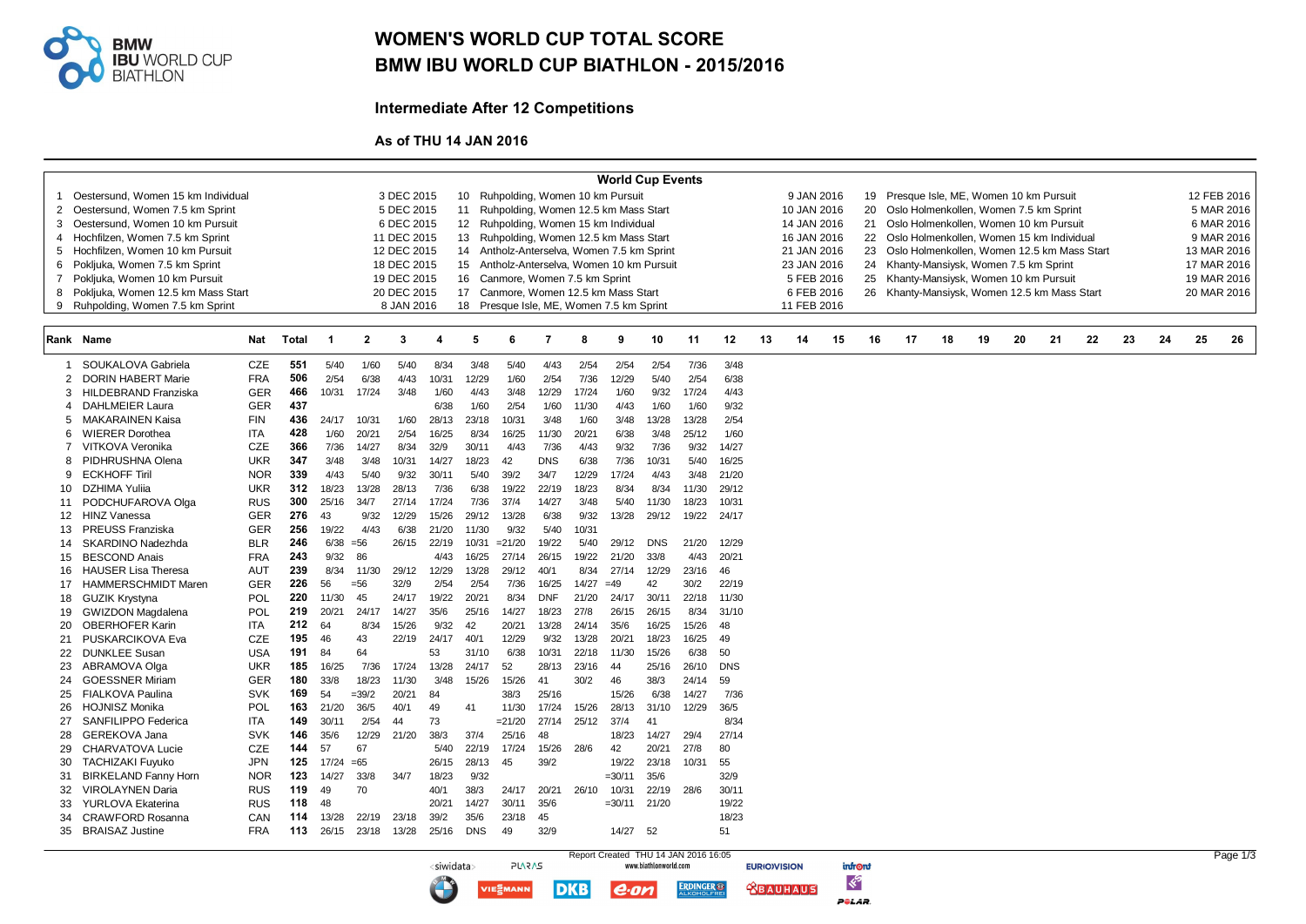

## WOMEN'S WORLD CUP TOTAL SCORE BMW IBU WORLD CUP BIATHLON - 2015/2016

Intermediate After 12 Competitions

As of THU 14 JAN 2016

<siwidata>

**PLARAS** 

**IE** EMANN

**DKB** 

| <b>World Cup Events</b> |                                                                                        |            |              |                                                                                                |                |                         |       |            |                                            |            |       |          |            |                                                        |            |    |             |    |                                                                                         |                                             |    |    |    |    |             |    |    |             |             |
|-------------------------|----------------------------------------------------------------------------------------|------------|--------------|------------------------------------------------------------------------------------------------|----------------|-------------------------|-------|------------|--------------------------------------------|------------|-------|----------|------------|--------------------------------------------------------|------------|----|-------------|----|-----------------------------------------------------------------------------------------|---------------------------------------------|----|----|----|----|-------------|----|----|-------------|-------------|
| 1                       | Oestersund. Women 15 km Individual<br>3 DEC 2015<br>10 Ruhpolding, Women 10 km Pursuit |            |              |                                                                                                |                |                         |       |            |                                            |            |       |          |            | 9 JAN 2016<br>19 Presque Isle, ME, Women 10 km Pursuit |            |    |             |    |                                                                                         |                                             |    |    |    |    |             |    |    | 12 FEB 2016 |             |
|                         | 2 Oestersund, Women 7.5 km Sprint                                                      |            |              |                                                                                                |                | 5 DEC 2015              |       | 11         | Ruhpolding, Women 12.5 km Mass Start       |            |       |          |            |                                                        |            |    | 10 JAN 2016 |    | 20                                                                                      | Oslo Holmenkollen, Women 7.5 km Sprint      |    |    |    |    |             |    |    |             | 5 MAR 2016  |
| 3                       | Oestersund, Women 10 km Pursuit                                                        |            |              |                                                                                                |                | 6 DEC 2015              |       |            | 12 Ruhpolding, Women 15 km Individual      |            |       |          |            |                                                        |            |    | 14 JAN 2016 |    | 21                                                                                      | Oslo Holmenkollen, Women 10 km Pursuit      |    |    |    |    |             |    |    |             | 6 MAR 2016  |
| $\overline{4}$          | Hochfilzen. Women 7.5 km Sprint                                                        |            |              |                                                                                                |                | 11 DEC 2015             |       |            | 13 Ruhpolding, Women 12.5 km Mass Start    |            |       |          |            |                                                        |            |    | 16 JAN 2016 |    | 22                                                                                      | Oslo Holmenkollen. Women 15 km Individual   |    |    |    |    |             |    |    |             | 9 MAR 2016  |
| 5                       | Hochfilzen, Women 10 km Pursuit                                                        |            |              |                                                                                                |                | 12 DEC 2015             |       |            | 14 Antholz-Anterselva, Women 7.5 km Sprint |            |       |          |            |                                                        |            |    | 21 JAN 2016 |    | 23                                                                                      | Oslo Holmenkollen, Women 12.5 km Mass Start |    |    |    |    |             |    |    |             | 13 MAR 2016 |
|                         | 6 Pokljuka, Women 7.5 km Sprint                                                        |            |              |                                                                                                |                | 18 DEC 2015             |       |            | 15 Antholz-Anterselva, Women 10 km Pursuit |            |       |          |            |                                                        |            |    | 23 JAN 2016 |    |                                                                                         | 24 Khanty-Mansiysk, Women 7.5 km Sprint     |    |    |    |    | 17 MAR 2016 |    |    |             |             |
| $\overline{7}$          | Pokljuka, Women 10 km Pursuit                                                          |            |              |                                                                                                |                | 19 DEC 2015             |       |            | 16 Canmore, Women 7.5 km Sprint            |            |       |          |            |                                                        |            |    | 5 FEB 2016  |    |                                                                                         |                                             |    |    |    |    |             |    |    |             | 19 MAR 2016 |
|                         | 8 Pokljuka, Women 12.5 km Mass Start                                                   |            |              |                                                                                                |                | 20 DEC 2015             |       |            |                                            |            |       |          |            |                                                        |            |    | 6 FEB 2016  |    | 25 Khanty-Mansiysk, Women 10 km Pursuit<br>26 Khanty-Mansiysk, Women 12.5 km Mass Start |                                             |    |    |    |    |             |    |    |             | 20 MAR 2016 |
| 9                       | Ruhpolding, Women 7.5 km Sprint                                                        |            |              | 17 Canmore, Women 12.5 km Mass Start<br>8 JAN 2016<br>18 Presque Isle, ME, Women 7.5 km Sprint |                |                         |       |            |                                            |            |       |          |            |                                                        |            |    | 11 FEB 2016 |    |                                                                                         |                                             |    |    |    |    |             |    |    |             |             |
|                         |                                                                                        |            |              |                                                                                                |                |                         |       |            |                                            |            |       |          |            |                                                        |            |    |             |    |                                                                                         |                                             |    |    |    |    |             |    |    |             |             |
|                         | <b>Rank Name</b>                                                                       | Nat        | <b>Total</b> | - 1                                                                                            | $\overline{2}$ | $\overline{\mathbf{3}}$ | Δ     | 5          | 6                                          | 7          | 8     | 9        | 10         | 11                                                     | 12         | 13 | 14          | 15 | 16                                                                                      | 17                                          | 18 | 19 | 20 | 21 | 22          | 23 | 24 | 25          | 26          |
| 1                       | SOUKALOVA Gabriela                                                                     | CZE        | 551          | 5/40                                                                                           | 1/60           | 5/40                    | 8/34  | 3/48       | 5/40                                       | 4/43       | 2/54  | 2/54     | 2/54       | 7/36                                                   | 3/48       |    |             |    |                                                                                         |                                             |    |    |    |    |             |    |    |             |             |
| $\overline{2}$          | <b>DORIN HABERT Marie</b>                                                              | <b>FRA</b> | 506          | 2/54                                                                                           | 6/38           | 4/43                    | 10/31 | 12/29      | 1/60                                       | 2/54       | 7/36  | 12/29    | 5/40       | 2/54                                                   | 6/38       |    |             |    |                                                                                         |                                             |    |    |    |    |             |    |    |             |             |
| 3                       | <b>HILDEBRAND Franziska</b>                                                            | GER        | 466          | 10/31                                                                                          | 17/24          | 3/48                    | 1/60  | 4/43       | 3/48                                       | 12/29      | 17/24 | 1/60     | 9/32       | 17/24                                                  | 4/43       |    |             |    |                                                                                         |                                             |    |    |    |    |             |    |    |             |             |
| 4                       | <b>DAHLMEIER Laura</b>                                                                 | <b>GER</b> | 437          |                                                                                                |                |                         | 6/38  | 1/60       | 2/54                                       | 1/60       | 11/30 | 4/43     | 1/60       | 1/60                                                   | 9/32       |    |             |    |                                                                                         |                                             |    |    |    |    |             |    |    |             |             |
| 5                       | <b>MAKARAINEN Kaisa</b>                                                                | <b>FIN</b> | 436          | 24/17                                                                                          | 10/31          | 1/60                    | 28/13 | 23/18      | 10/31                                      | 3/48       | 1/60  | 3/48     | 13/28      | 13/28                                                  | 2/54       |    |             |    |                                                                                         |                                             |    |    |    |    |             |    |    |             |             |
| 6                       | <b>WIERER Dorothea</b>                                                                 | <b>ITA</b> | 428          | 1/60                                                                                           | 20/21          | 2/54                    | 16/25 | 8/34       | 16/25                                      | 11/30      | 20/21 | 6/38     | 3/48       | 25/12                                                  | 1/60       |    |             |    |                                                                                         |                                             |    |    |    |    |             |    |    |             |             |
| $\overline{7}$          | VITKOVA Veronika                                                                       | <b>CZE</b> | 366          | 7/36                                                                                           | 14/27          | 8/34                    | 32/9  | 30/11      | 4/43                                       | 7/36       | 4/43  | 9/32     | 7/36       | 9/32                                                   | 14/27      |    |             |    |                                                                                         |                                             |    |    |    |    |             |    |    |             |             |
| 8                       | PIDHRUSHNA Olena                                                                       | <b>UKR</b> | 347          | 3/48                                                                                           | 3/48           | 10/31                   | 14/27 | 18/23      | 42                                         | <b>DNS</b> | 6/38  | 7/36     | 10/31      | 5/40                                                   | 16/25      |    |             |    |                                                                                         |                                             |    |    |    |    |             |    |    |             |             |
| 9                       | <b>ECKHOFF Tiril</b>                                                                   | <b>NOR</b> | 339          | 4/43                                                                                           | 5/40           | 9/32                    | 30/11 | 5/40       | 39/2                                       | 34/7       | 12/29 | 17/24    | 4/43       | 3/48                                                   | 21/20      |    |             |    |                                                                                         |                                             |    |    |    |    |             |    |    |             |             |
| 10                      | <b>DZHIMA Yulija</b>                                                                   | <b>UKR</b> | 312          | 18/23                                                                                          | 13/28          | 28/13                   | 7/36  | 6/38       | 19/22                                      | 22/19      | 18/23 | 8/34     | 8/34       | 11/30                                                  | 29/12      |    |             |    |                                                                                         |                                             |    |    |    |    |             |    |    |             |             |
| 11                      | PODCHUFAROVA Olga                                                                      | <b>RUS</b> | 300          | 25/16                                                                                          | 34/7           | 27/14                   | 17/24 | 7/36       | 37/4                                       | 14/27      | 3/48  | 5/40     | 11/30      | 18/23                                                  | 10/31      |    |             |    |                                                                                         |                                             |    |    |    |    |             |    |    |             |             |
| 12                      | <b>HINZ Vanessa</b>                                                                    | <b>GER</b> | 276          | 43                                                                                             | 9/32           | 12/29                   | 15/26 | 29/12      | 13/28                                      | 6/38       | 9/32  | 13/28    | 29/12      | 19/22                                                  | 24/17      |    |             |    |                                                                                         |                                             |    |    |    |    |             |    |    |             |             |
| 13                      | <b>PREUSS Franziska</b>                                                                | <b>GER</b> | 256          | 19/22                                                                                          | 4/43           | 6/38                    | 21/20 | 11/30      | 9/32                                       | 5/40       | 10/31 |          |            |                                                        |            |    |             |    |                                                                                         |                                             |    |    |    |    |             |    |    |             |             |
| 14                      | <b>SKARDINO Nadezhda</b>                                                               | <b>BLR</b> | 246          | 6/38                                                                                           | $= 56$         | 26/15                   | 22/19 | 10/31      | $=21/20$                                   | 19/22      | 5/40  | 29/12    | <b>DNS</b> | 21/20                                                  | 12/29      |    |             |    |                                                                                         |                                             |    |    |    |    |             |    |    |             |             |
| 15                      | <b>BESCOND Anais</b>                                                                   | <b>FRA</b> | 243          | 9/32                                                                                           | 86             |                         | 4/43  | 16/25      | 27/14                                      | 26/15      | 19/22 | 21/20    | 33/8       | 4/43                                                   | 20/21      |    |             |    |                                                                                         |                                             |    |    |    |    |             |    |    |             |             |
| 16                      | <b>HAUSER Lisa Theresa</b>                                                             | <b>AUT</b> | 239          | 8/34                                                                                           | 11/30          | 29/12                   | 12/29 | 13/28      | 29/12                                      | 40/1       | 8/34  | 27/14    | 12/29      | 23/16                                                  | 46         |    |             |    |                                                                                         |                                             |    |    |    |    |             |    |    |             |             |
| 17                      | <b>HAMMERSCHMIDT Maren</b>                                                             | <b>GER</b> | 226          | 56                                                                                             | $=56$          | 32/9                    | 2/54  | 2/54       | 7/36                                       | 16/25      | 14/27 | $=49$    | 42         | 30/2                                                   | 22/19      |    |             |    |                                                                                         |                                             |    |    |    |    |             |    |    |             |             |
| 18                      | <b>GUZIK Krystyna</b>                                                                  | <b>POL</b> | 220          | 11/30                                                                                          | 45             | 24/17                   | 19/22 | 20/21      | 8/34                                       | <b>DNF</b> | 21/20 | 24/17    | 30/11      | 22/18                                                  | 11/30      |    |             |    |                                                                                         |                                             |    |    |    |    |             |    |    |             |             |
| 19                      | <b>GWIZDON Magdalena</b>                                                               | POL        | 219          | 20/21                                                                                          | 24/17          | 14/27                   | 35/6  | 25/16      | 14/27                                      | 18/23      | 27/8  | 26/15    | 26/15      | 8/34                                                   | 31/10      |    |             |    |                                                                                         |                                             |    |    |    |    |             |    |    |             |             |
| 20                      | <b>OBERHOFER Karin</b>                                                                 | <b>ITA</b> | 212          | 64                                                                                             | 8/34           | 15/26                   | 9/32  | 42         | 20/21                                      | 13/28      | 24/14 | 35/6     | 16/25      | 15/26                                                  | 48         |    |             |    |                                                                                         |                                             |    |    |    |    |             |    |    |             |             |
| 21                      | PUSKARCIKOVA Eva                                                                       | <b>CZE</b> | 195          | 46                                                                                             | 43             | 22/19                   | 24/17 | 40/1       | 12/29                                      | 9/32       | 13/28 | 20/21    | 18/23      | 16/25                                                  | 49         |    |             |    |                                                                                         |                                             |    |    |    |    |             |    |    |             |             |
| 22                      | <b>DUNKLEE Susan</b>                                                                   | <b>USA</b> | 191          | 84                                                                                             | 64             |                         | 53    | 31/10      | 6/38                                       | 10/31      | 22/18 | 11/30    | 15/26      | 6/38                                                   | 50         |    |             |    |                                                                                         |                                             |    |    |    |    |             |    |    |             |             |
| 23                      | ABRAMOVA Olga                                                                          | <b>UKR</b> | 185          | 16/25                                                                                          | 7/36           | 17/24                   | 13/28 | 24/17      | 52                                         | 28/13      | 23/16 | -44      | 25/16      | 26/10                                                  | <b>DNS</b> |    |             |    |                                                                                         |                                             |    |    |    |    |             |    |    |             |             |
| 24                      | <b>GOESSNER Miriam</b>                                                                 | <b>GER</b> | 180          | 33/8                                                                                           | 18/23          | 11/30                   | 3/48  | 15/26      | 15/26                                      | 41         | 30/2  | 46       | 38/3       | 24/14                                                  | 59         |    |             |    |                                                                                         |                                             |    |    |    |    |             |    |    |             |             |
| 25                      | <b>FIALKOVA Paulina</b>                                                                | <b>SVK</b> | 169          | 54                                                                                             | $=39/2$        | 20/21                   | 84    |            | 38/3                                       | 25/16      |       | 15/26    | 6/38       | 14/27                                                  | 7/36       |    |             |    |                                                                                         |                                             |    |    |    |    |             |    |    |             |             |
| 26                      | <b>HOJNISZ Monika</b>                                                                  | <b>POL</b> | 163          | 21/20                                                                                          | 36/5           | 40/1                    | 49    | 41         | 11/30                                      | 17/24      | 15/26 | 28/13    | 31/10      | 12/29                                                  | 36/5       |    |             |    |                                                                                         |                                             |    |    |    |    |             |    |    |             |             |
| 27                      | SANFILIPPO Federica                                                                    | <b>ITA</b> | 149          | 30/11                                                                                          | 2/54           | 44                      | 73    |            | $= 21/20$                                  | 27/14      | 25/12 | 37/4     | 41         |                                                        | 8/34       |    |             |    |                                                                                         |                                             |    |    |    |    |             |    |    |             |             |
| 28                      | GEREKOVA Jana                                                                          | <b>SVK</b> | 146          | 35/6                                                                                           | 12/29          | 21/20                   | 38/3  | 37/4       | 25/16                                      | 48         |       | 18/23    | 14/27      | 29/4                                                   | 27/14      |    |             |    |                                                                                         |                                             |    |    |    |    |             |    |    |             |             |
| 29                      | <b>CHARVATOVA Lucie</b>                                                                | <b>CZE</b> | 144          | 57                                                                                             | 67             |                         | 5/40  | 22/19      | 17/24                                      | 15/26      | 28/6  | 42       | 20/21      | 27/8                                                   | 80         |    |             |    |                                                                                         |                                             |    |    |    |    |             |    |    |             |             |
| 30                      | <b>TACHIZAKI Fuyuko</b>                                                                | <b>JPN</b> | 125          | 17/24                                                                                          | $=65$          |                         | 26/15 | 28/13      | 45                                         | 39/2       |       | 19/22    | 23/18      | 10/31                                                  | 55         |    |             |    |                                                                                         |                                             |    |    |    |    |             |    |    |             |             |
| 31                      | <b>BIRKELAND Fanny Horn</b>                                                            | <b>NOR</b> | 123          | 14/27                                                                                          | 33/8           | 34/7                    | 18/23 | 9/32       |                                            |            |       | $=30/11$ | 35/6       |                                                        | 32/9       |    |             |    |                                                                                         |                                             |    |    |    |    |             |    |    |             |             |
| 32                      | <b>VIROLAYNEN Daria</b>                                                                | <b>RUS</b> | 119          | 49                                                                                             | 70             |                         | 40/1  | 38/3       | 24/17                                      | 20/21      | 26/10 | 10/31    | 22/19      | 28/6                                                   | 30/11      |    |             |    |                                                                                         |                                             |    |    |    |    |             |    |    |             |             |
| 33                      | <b>YURLOVA Ekaterina</b>                                                               | <b>RUS</b> | 118          | 48                                                                                             |                |                         | 20/21 | 14/27      | 30/11                                      | 35/6       |       | $=30/11$ | 21/20      |                                                        | 19/22      |    |             |    |                                                                                         |                                             |    |    |    |    |             |    |    |             |             |
| 34                      | <b>CRAWFORD Rosanna</b>                                                                | CAN        | 114          | 13/28                                                                                          | 22/19          | 23/18                   | 39/2  | 35/6       | 23/18                                      | 45         |       |          |            |                                                        | 18/23      |    |             |    |                                                                                         |                                             |    |    |    |    |             |    |    |             |             |
|                         | 35 BRAISAZ Justine                                                                     | <b>FRA</b> | 113          | 26/15                                                                                          | 23/18          | 13/28                   | 25/16 | <b>DNS</b> | 49                                         | 32/9       |       | 14/27    | 52         |                                                        | 51         |    |             |    |                                                                                         |                                             |    |    |    |    |             |    |    |             |             |
|                         |                                                                                        |            |              |                                                                                                |                |                         |       |            |                                            |            |       |          |            |                                                        |            |    |             |    |                                                                                         |                                             |    |    |    |    |             |    |    |             |             |

Report Created THU 14 JAN 2016 16:05

 $e$ ·on

**ERDINGER®** 

infront  $\ll$ 

POLAR.

**ABAUHAUS**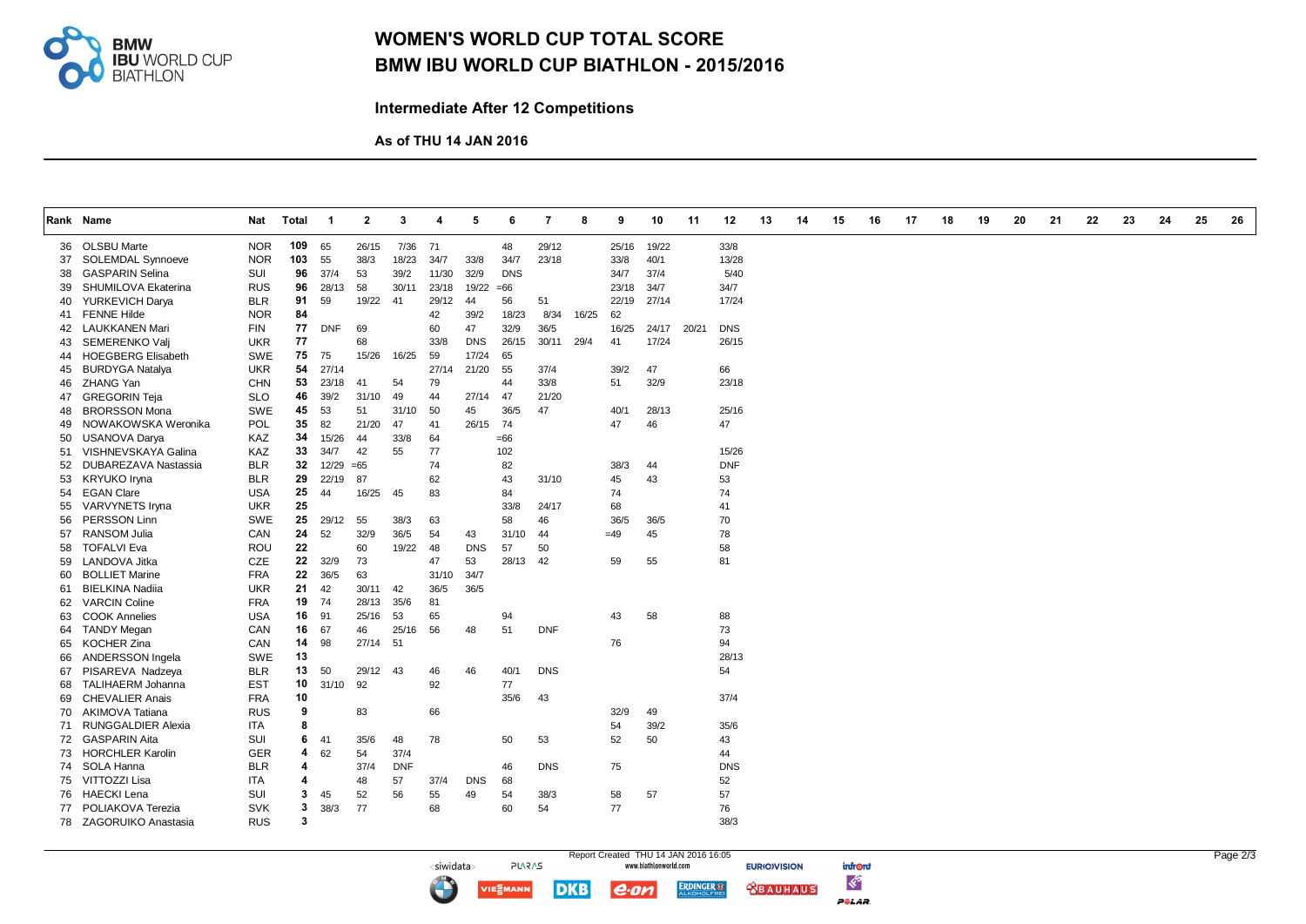

## WOMEN'S WORLD CUP TOTAL SCORE BMW IBU WORLD CUP BIATHLON - 2015/2016

Intermediate After 12 Competitions

As of THU 14 JAN 2016

<siwidata>

**IE** EMANN

|    | Rank Name                 | Nat        | Total        | $\overline{\mathbf{1}}$ | $\mathbf{2}$ | 3          | 4     | 5          | 6          | -7         | 8     | 9     | 10    | 11    | 12         | 13 | 14 | 15 | 16 | 17 | 18 | 19 | 20 | 21 | 22 | 23 | 24 | 25 | 26 |
|----|---------------------------|------------|--------------|-------------------------|--------------|------------|-------|------------|------------|------------|-------|-------|-------|-------|------------|----|----|----|----|----|----|----|----|----|----|----|----|----|----|
|    |                           |            |              |                         |              |            |       |            |            |            |       |       |       |       |            |    |    |    |    |    |    |    |    |    |    |    |    |    |    |
|    | 36 OLSBU Marte            | <b>NOR</b> | 109          | 65                      | 26/15        | 7/36       | 71    |            | 48         | 29/12      |       | 25/16 | 19/22 |       | 33/8       |    |    |    |    |    |    |    |    |    |    |    |    |    |    |
| 37 | <b>SOLEMDAL Synnoeve</b>  | <b>NOR</b> | 103          | 55                      | 38/3         | 18/23      | 34/7  | 33/8       | 34/7       | 23/18      |       | 33/8  | 40/1  |       | 13/28      |    |    |    |    |    |    |    |    |    |    |    |    |    |    |
| 38 | <b>GASPARIN Selina</b>    | SUI        | 96           | 37/4                    | 53           | 39/2       | 11/30 | 32/9       | <b>DNS</b> |            |       | 34/7  | 37/4  |       | 5/40       |    |    |    |    |    |    |    |    |    |    |    |    |    |    |
| 39 | SHUMILOVA Ekaterina       | <b>RUS</b> | 96           | 28/13                   | 58           | 30/11      | 23/18 | 19/22      | $=66$      |            |       | 23/18 | 34/7  |       | 34/7       |    |    |    |    |    |    |    |    |    |    |    |    |    |    |
| 40 | YURKEVICH Darya           | <b>BLR</b> | 91           | 59                      | 19/22        | -41        | 29/12 | 44         | 56         | 51         |       | 22/19 | 27/14 |       | 17/24      |    |    |    |    |    |    |    |    |    |    |    |    |    |    |
| 41 | <b>FENNE Hilde</b>        | <b>NOR</b> | 84           |                         |              |            | 42    | 39/2       | 18/23      | 8/34       | 16/25 | 62    |       |       |            |    |    |    |    |    |    |    |    |    |    |    |    |    |    |
|    | 42 LAUKKANEN Mari         | <b>FIN</b> | 77           | <b>DNF</b>              | 69           |            | 60    | 47         | 32/9       | 36/5       |       | 16/25 | 24/17 | 20/21 | <b>DNS</b> |    |    |    |    |    |    |    |    |    |    |    |    |    |    |
| 43 | SEMERENKO Valj            | <b>UKR</b> | 77           |                         | 68           |            | 33/8  | <b>DNS</b> | 26/15      | 30/11      | 29/4  | 41    | 17/24 |       | 26/15      |    |    |    |    |    |    |    |    |    |    |    |    |    |    |
| 44 | <b>HOEGBERG Elisabeth</b> | <b>SWE</b> | 75           | 75                      | 15/26        | 16/25      | 59    | 17/24      | 65         |            |       |       |       |       |            |    |    |    |    |    |    |    |    |    |    |    |    |    |    |
| 45 | <b>BURDYGA Natalya</b>    | <b>UKR</b> | 54           | 27/14                   |              |            | 27/14 | 21/20      | 55         | 37/4       |       | 39/2  | 47    |       | 66         |    |    |    |    |    |    |    |    |    |    |    |    |    |    |
| 46 | ZHANG Yan                 | <b>CHN</b> | 53           | 23/18                   | 41           | 54         | 79    |            | 44         | 33/8       |       | 51    | 32/9  |       | 23/18      |    |    |    |    |    |    |    |    |    |    |    |    |    |    |
| 47 | <b>GREGORIN Teja</b>      | <b>SLO</b> | 46           | 39/2                    | 31/10        | 49         | 44    | 27/14      | 47         | 21/20      |       |       |       |       |            |    |    |    |    |    |    |    |    |    |    |    |    |    |    |
| 48 | <b>BRORSSON Mona</b>      | <b>SWE</b> | 45           | 53                      | 51           | 31/10      | 50    | 45         | 36/5       | 47         |       | 40/1  | 28/13 |       | 25/16      |    |    |    |    |    |    |    |    |    |    |    |    |    |    |
| 49 | NOWAKOWSKA Weronika       | POL        | 35           | 82                      | 21/20        | 47         | 41    | 26/15      | 74         |            |       | 47    | 46    |       | 47         |    |    |    |    |    |    |    |    |    |    |    |    |    |    |
| 50 | <b>USANOVA Darya</b>      | KAZ        | 34           | 15/26                   | 44           | 33/8       | 64    |            | $=66$      |            |       |       |       |       |            |    |    |    |    |    |    |    |    |    |    |    |    |    |    |
| 51 | VISHNEVSKAYA Galina       | KAZ        | 33           | 34/7                    | 42           | 55         | 77    |            | 102        |            |       |       |       |       | 15/26      |    |    |    |    |    |    |    |    |    |    |    |    |    |    |
| 52 | DUBAREZAVA Nastassia      | <b>BLR</b> | 32           | 12/29                   | $=65$        |            | 74    |            | 82         |            |       | 38/3  | 44    |       | <b>DNF</b> |    |    |    |    |    |    |    |    |    |    |    |    |    |    |
| 53 | <b>KRYUKO Iryna</b>       | <b>BLR</b> | 29           | 22/19                   | 87           |            | 62    |            | 43         | 31/10      |       | 45    | 43    |       | 53         |    |    |    |    |    |    |    |    |    |    |    |    |    |    |
|    | 54 EGAN Clare             | <b>USA</b> | 25           | 44                      | 16/25        | 45         | 83    |            | 84         |            |       | 74    |       |       | 74         |    |    |    |    |    |    |    |    |    |    |    |    |    |    |
| 55 | VARVYNETS Iryna           | <b>UKR</b> | 25           |                         |              |            |       |            | 33/8       | 24/17      |       | 68    |       |       | 41         |    |    |    |    |    |    |    |    |    |    |    |    |    |    |
| 56 | PERSSON Linn              | <b>SWE</b> | 25           | 29/12                   | 55           | 38/3       | 63    |            | 58         | 46         |       | 36/5  | 36/5  |       | 70         |    |    |    |    |    |    |    |    |    |    |    |    |    |    |
| 57 | <b>RANSOM Julia</b>       | CAN        | 24           | 52                      | 32/9         | 36/5       | 54    | 43         | 31/10      | 44         |       | $=49$ | 45    |       | 78         |    |    |    |    |    |    |    |    |    |    |    |    |    |    |
| 58 | <b>TOFALVI Eva</b>        | ROU        | 22           |                         | 60           | 19/22      | 48    | <b>DNS</b> | 57         | 50         |       |       |       |       | 58         |    |    |    |    |    |    |    |    |    |    |    |    |    |    |
| 59 | LANDOVA Jitka             | <b>CZE</b> | 22           | 32/9                    | 73           |            | 47    | 53         | 28/13      | 42         |       | 59    | 55    |       | 81         |    |    |    |    |    |    |    |    |    |    |    |    |    |    |
| 60 | <b>BOLLIET Marine</b>     | <b>FRA</b> | 22           | 36/5                    | 63           |            | 31/10 | 34/7       |            |            |       |       |       |       |            |    |    |    |    |    |    |    |    |    |    |    |    |    |    |
| 61 | <b>BIELKINA Nadiia</b>    | <b>UKR</b> | 21           | 42                      | 30/11        | 42         | 36/5  | 36/5       |            |            |       |       |       |       |            |    |    |    |    |    |    |    |    |    |    |    |    |    |    |
|    | 62 VARCIN Coline          | <b>FRA</b> | 19           | 74                      | 28/13        | 35/6       | 81    |            |            |            |       |       |       |       |            |    |    |    |    |    |    |    |    |    |    |    |    |    |    |
| 63 | <b>COOK Annelies</b>      | <b>USA</b> | 16           | 91                      | 25/16        | 53         | 65    |            | 94         |            |       | 43    | 58    |       | 88         |    |    |    |    |    |    |    |    |    |    |    |    |    |    |
| 64 | <b>TANDY Megan</b>        | CAN        | 16           | 67                      | 46           | 25/16      | 56    | 48         | 51         | <b>DNF</b> |       |       |       |       | 73         |    |    |    |    |    |    |    |    |    |    |    |    |    |    |
| 65 | <b>KOCHER Zina</b>        | CAN        | 14           | 98                      | 27/14 51     |            |       |            |            |            |       | 76    |       |       | 94         |    |    |    |    |    |    |    |    |    |    |    |    |    |    |
| 66 | ANDERSSON Ingela          | <b>SWE</b> | 13           |                         |              |            |       |            |            |            |       |       |       |       | 28/13      |    |    |    |    |    |    |    |    |    |    |    |    |    |    |
|    | 67 PISAREVA Nadzeya       | <b>BLR</b> | 13           | 50                      | 29/12 43     |            | 46    | 46         | 40/1       | <b>DNS</b> |       |       |       |       | 54         |    |    |    |    |    |    |    |    |    |    |    |    |    |    |
| 68 | <b>TALIHAERM Johanna</b>  | <b>EST</b> | 10           | 31/10                   | 92           |            | 92    |            | 77         |            |       |       |       |       |            |    |    |    |    |    |    |    |    |    |    |    |    |    |    |
|    | 69 CHEVALIER Anais        | <b>FRA</b> | 10           |                         |              |            |       |            | 35/6       | 43         |       |       |       |       | 37/4       |    |    |    |    |    |    |    |    |    |    |    |    |    |    |
| 70 | <b>AKIMOVA Tatiana</b>    | <b>RUS</b> | 9            |                         | 83           |            | 66    |            |            |            |       | 32/9  | 49    |       |            |    |    |    |    |    |    |    |    |    |    |    |    |    |    |
| 71 | <b>RUNGGALDIER Alexia</b> | ITA        | 8            |                         |              |            |       |            |            |            |       | 54    | 39/2  |       | 35/6       |    |    |    |    |    |    |    |    |    |    |    |    |    |    |
| 72 | <b>GASPARIN Aita</b>      | SUI        | 6            | -41                     | 35/6         | 48         | 78    |            | 50         | 53         |       | 52    | 50    |       | 43         |    |    |    |    |    |    |    |    |    |    |    |    |    |    |
| 73 | <b>HORCHLER Karolin</b>   | <b>GER</b> | 4            | 62                      | 54           | 37/4       |       |            |            |            |       |       |       |       | 44         |    |    |    |    |    |    |    |    |    |    |    |    |    |    |
|    | 74 SOLA Hanna             | <b>BLR</b> | 4            |                         | 37/4         | <b>DNF</b> |       |            | 46         | <b>DNS</b> |       | 75    |       |       | <b>DNS</b> |    |    |    |    |    |    |    |    |    |    |    |    |    |    |
|    | 75 VITTOZZI Lisa          | <b>ITA</b> | 4            |                         | 48           | 57         | 37/4  | <b>DNS</b> | 68         |            |       |       |       |       | 52         |    |    |    |    |    |    |    |    |    |    |    |    |    |    |
| 76 | <b>HAECKI Lena</b>        | SUI        | $\mathbf{3}$ | 45                      | 52           | 56         | 55    | 49         | 54         | 38/3       |       | 58    | 57    |       | 57         |    |    |    |    |    |    |    |    |    |    |    |    |    |    |
|    | 77 POLIAKOVA Terezia      | <b>SVK</b> | 3            | 38/3                    | 77           |            | 68    |            | 60         | 54         |       | 77    |       |       | 76         |    |    |    |    |    |    |    |    |    |    |    |    |    |    |
|    | 78 ZAGORUIKO Anastasia    | <b>RUS</b> | 3            |                         |              |            |       |            |            |            |       |       |       |       | 38/3       |    |    |    |    |    |    |    |    |    |    |    |    |    |    |
|    |                           |            |              |                         |              |            |       |            |            |            |       |       |       |       |            |    |    |    |    |    |    |    |    |    |    |    |    |    |    |

**PLARAS** 

 $e$ ·on

**DKB** 

Report Created THU 14 JAN 2016 16:05

**ERDINGER®** 

infront